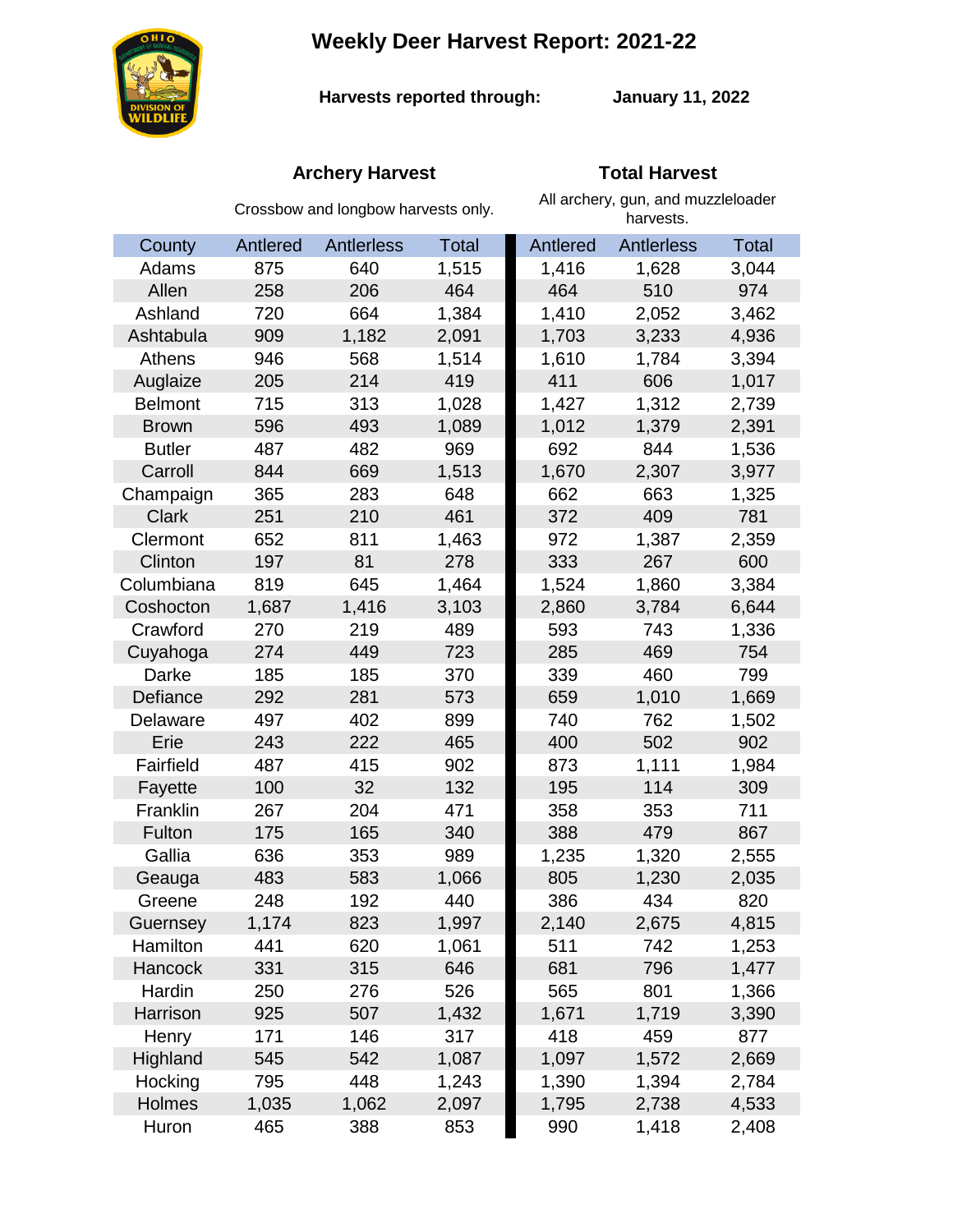# **Weekly Deer Harvest Report: 2021-22**



**Harvests reported through:** 

**January 11, 2022**

## **Archery Harvest Total Harvest**

|                | Crossbow and longbow harvests only. |            |              | All archery, gun, and muzzleloader<br>harvests. |                   |              |  |
|----------------|-------------------------------------|------------|--------------|-------------------------------------------------|-------------------|--------------|--|
| County         | Antlered                            | Antlerless | <b>Total</b> | Antlered                                        | <b>Antlerless</b> | <b>Total</b> |  |
| Adams          | 875                                 | 640        | 1,515        | 1,416                                           | 1,628             | 3,044        |  |
| Allen          | 258                                 | 206        | 464          | 464                                             | 510               | 974          |  |
| Ashland        | 720                                 | 664        | 1,384        | 1,410                                           | 2,052             | 3,462        |  |
| Ashtabula      | 909                                 | 1,182      | 2,091        | 1,703                                           | 3,233             | 4,936        |  |
| Athens         | 946                                 | 568        | 1,514        | 1,610                                           | 1,784             | 3,394        |  |
| Auglaize       | 205                                 | 214        | 419          | 411                                             | 606               | 1,017        |  |
| <b>Belmont</b> | 715                                 | 313        | 1,028        | 1,427                                           | 1,312             | 2,739        |  |
| <b>Brown</b>   | 596                                 | 493        | 1,089        | 1,012                                           | 1,379             | 2,391        |  |
| <b>Butler</b>  | 487                                 | 482        | 969          | 692                                             | 844               | 1,536        |  |
| Carroll        | 844                                 | 669        | 1,513        | 1,670                                           | 2,307             | 3,977        |  |
| Champaign      | 365                                 | 283        | 648          | 662                                             | 663               | 1,325        |  |
| <b>Clark</b>   | 251                                 | 210        | 461          | 372                                             | 409               | 781          |  |
| Clermont       | 652                                 | 811        | 1,463        | 972                                             | 1,387             | 2,359        |  |
| Clinton        | 197                                 | 81         | 278          | 333                                             | 267               | 600          |  |
| Columbiana     | 819                                 | 645        | 1,464        | 1,524                                           | 1,860             | 3,384        |  |
| Coshocton      | 1,687                               | 1,416      | 3,103        | 2,860                                           | 3,784             | 6,644        |  |
| Crawford       | 270                                 | 219        | 489          | 593                                             | 743               | 1,336        |  |
| Cuyahoga       | 274                                 | 449        | 723          | 285                                             | 469               | 754          |  |
| Darke          | 185                                 | 185        | 370          | 339                                             | 460               | 799          |  |
| Defiance       | 292                                 | 281        | 573          | 659                                             | 1,010             | 1,669        |  |
| Delaware       | 497                                 | 402        | 899          | 740                                             | 762               | 1,502        |  |
| Erie           | 243                                 | 222        | 465          | 400                                             | 502               | 902          |  |
| Fairfield      | 487                                 | 415        | 902          | 873                                             | 1,111             | 1,984        |  |
| Fayette        | 100                                 | 32         | 132          | 195                                             | 114               | 309          |  |
| Franklin       | 267                                 | 204        | 471          | 358                                             | 353               | 711          |  |
| Fulton         | 175                                 | 165        | 340          | 388                                             | 479               | 867          |  |
| Gallia         | 636                                 | 353        | 989          | 1,235                                           | 1,320             | 2,555        |  |
| Geauga         | 483                                 | 583        | 1,066        | 805                                             | 1,230             | 2,035        |  |
| Greene         | 248                                 | 192        | 440          | 386                                             | 434               | 820          |  |
| Guernsey       | 1,174                               | 823        | 1,997        | 2,140                                           | 2,675             | 4,815        |  |
| Hamilton       | 441                                 | 620        | 1,061        | 511                                             | 742               | 1,253        |  |
| <b>Hancock</b> | 331                                 | 315        | 646          | 681                                             | 796               | 1,477        |  |
| Hardin         | 250                                 | 276        | 526          | 565                                             | 801               | 1,366        |  |
| Harrison       | 925                                 | 507        | 1,432        | 1,671                                           | 1,719             | 3,390        |  |
| Henry          | 171                                 | 146        | 317          | 418                                             | 459               | 877          |  |
| Highland       | 545                                 | 542        | 1,087        | 1,097                                           | 1,572             | 2,669        |  |
| Hocking        | 795                                 | 448        | 1,243        | 1,390                                           | 1,394             | 2,784        |  |
| Holmes         | 1,035                               | 1,062      | 2,097        | 1,795                                           | 2,738             | 4,533        |  |
| Huron          | 465                                 | 388        | 853          | 990                                             | 1,418             | 2,408        |  |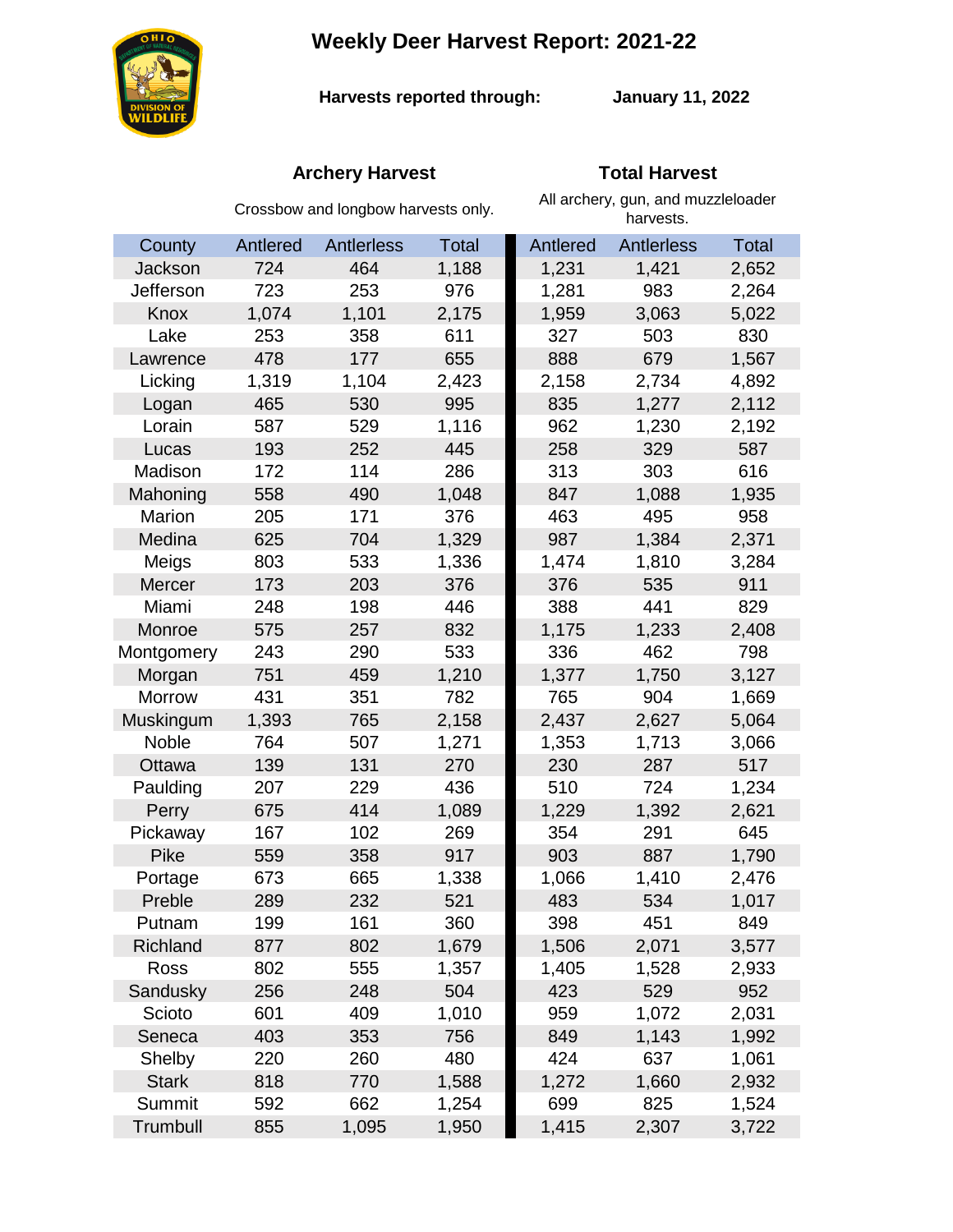**Weekly Deer Harvest Report: 2021-22**



**Harvests reported through:** 

**January 11, 2022**

## **Archery Harvest Total Harvest**

|               | Crossbow and longbow harvests only. |            |              | All archery, gun, and muzzleloader<br>harvests. |                   |              |  |
|---------------|-------------------------------------|------------|--------------|-------------------------------------------------|-------------------|--------------|--|
| County        | Antlered                            | Antlerless | <b>Total</b> | Antlered                                        | <b>Antlerless</b> | <b>Total</b> |  |
| Jackson       | 724                                 | 464        | 1,188        | 1,231                                           | 1,421             | 2,652        |  |
| Jefferson     | 723                                 | 253        | 976          | 1,281                                           | 983               | 2,264        |  |
| Knox          | 1,074                               | 1,101      | 2,175        | 1,959                                           | 3,063             | 5,022        |  |
| Lake          | 253                                 | 358        | 611          | 327                                             | 503               | 830          |  |
| Lawrence      | 478                                 | 177        | 655          | 888                                             | 679               | 1,567        |  |
| Licking       | 1,319                               | 1,104      | 2,423        | 2,158                                           | 2,734             | 4,892        |  |
| Logan         | 465                                 | 530        | 995          | 835                                             | 1,277             | 2,112        |  |
| Lorain        | 587                                 | 529        | 1,116        | 962                                             | 1,230             | 2,192        |  |
| Lucas         | 193                                 | 252        | 445          | 258                                             | 329               | 587          |  |
| Madison       | 172                                 | 114        | 286          | 313                                             | 303               | 616          |  |
| Mahoning      | 558                                 | 490        | 1,048        | 847                                             | 1,088             | 1,935        |  |
| Marion        | 205                                 | 171        | 376          | 463                                             | 495               | 958          |  |
| Medina        | 625                                 | 704        | 1,329        | 987                                             | 1,384             | 2,371        |  |
| Meigs         | 803                                 | 533        | 1,336        | 1,474                                           | 1,810             | 3,284        |  |
| Mercer        | 173                                 | 203        | 376          | 376                                             | 535               | 911          |  |
| Miami         | 248                                 | 198        | 446          | 388                                             | 441               | 829          |  |
| Monroe        | 575                                 | 257        | 832          | 1,175                                           | 1,233             | 2,408        |  |
| Montgomery    | 243                                 | 290        | 533          | 336                                             | 462               | 798          |  |
| Morgan        | 751                                 | 459        | 1,210        | 1,377                                           | 1,750             | 3,127        |  |
| <b>Morrow</b> | 431                                 | 351        | 782          | 765                                             | 904               | 1,669        |  |
| Muskingum     | 1,393                               | 765        | 2,158        | 2,437                                           | 2,627             | 5,064        |  |
| Noble         | 764                                 | 507        | 1,271        | 1,353                                           | 1,713             | 3,066        |  |
| Ottawa        | 139                                 | 131        | 270          | 230                                             | 287               | 517          |  |
| Paulding      | 207                                 | 229        | 436          | 510                                             | 724               | 1,234        |  |
| Perry         | 675                                 | 414        | 1,089        | 1,229                                           | 1,392             | 2,621        |  |
| Pickaway      | 167                                 | 102        | 269          | 354                                             | 291               | 645          |  |
| Pike          | 559                                 | 358        | 917          | 903                                             | 887               | 1,790        |  |
| Portage       | 673                                 | 665        | 1,338        | 1,066                                           | 1,410             | 2,476        |  |
| Preble        | 289                                 | 232        | 521          | 483                                             | 534               | 1,017        |  |
| Putnam        | 199                                 | 161        | 360          | 398                                             | 451               | 849          |  |
| Richland      | 877                                 | 802        | 1,679        | 1,506                                           | 2,071             | 3,577        |  |
| Ross          | 802                                 | 555        | 1,357        | 1,405                                           | 1,528             | 2,933        |  |
| Sandusky      | 256                                 | 248        | 504          | 423                                             | 529               | 952          |  |
| Scioto        | 601                                 | 409        | 1,010        | 959                                             | 1,072             | 2,031        |  |
| Seneca        | 403                                 | 353        | 756          | 849                                             | 1,143             | 1,992        |  |
| Shelby        | 220                                 | 260        | 480          | 424                                             | 637               | 1,061        |  |
| <b>Stark</b>  | 818                                 | 770        | 1,588        | 1,272                                           | 1,660             | 2,932        |  |
| Summit        | 592                                 | 662        | 1,254        | 699                                             | 825               | 1,524        |  |
| Trumbull      | 855                                 | 1,095      | 1,950        | 1,415                                           | 2,307             | 3,722        |  |